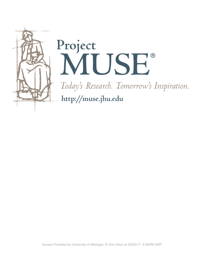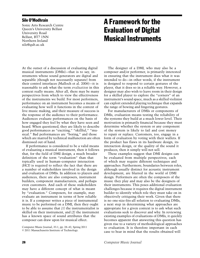# Sile O'Modhrain

Sonic Arts Research Centre Queen's University Belfast University Road Belfast, BT7 1NN Northern Ireland sile@qub.ac.uk

# A Framework for the Evaluation of Digital Musical Instruments

At the outset of a discussion of evaluating digital musical instruments (DMIs)—that is to say, instruments whose sound generators are digital and separable (though not necessarily separate) from their control interfaces (Malloch et al. 2006)—it is reasonable to ask what the term *evaluation* in this context really means. After all, there may be many perspectives from which to view the effectiveness of the instruments we build. For most performers, performance on an instrument becomes a means of evaluating how well it functions in the context of live music making, and their measure of success is the response of the audience to their performance. Audiences evaluate performances on the basis of how engaged they feel by what they have seen and heard. When questioned, they are likely to describe good performances as "exciting," "skillful," "musical." Bad performances are "boring," and those which are marred by technical malfunction are often dismissed out of hand.

If performance is considered to be a valid means of evaluating a musical instrument, then it follows that, for the field of DMI design, a much broader definition of the term "evaluation" than that typically used in human–computer interaction (HCI) is required to reflect the fact that there are a number of stakeholders involved in the design and evaluation of DMIs. In addition to players and audiences, there are also composers, instrument builders, component manufacturers, and perhaps even customers. And each of these stakeholders may have a different concept of what is meant by "evaluation." Composers, for example, may evaluate an instrument in terms of how reliable it is. If a composer writes a piece of instrumental music to be performed on a DMI, then they ought to be able to assume that (1) the instrumentalist is skilled on their instrument, and (2) the instrument has a known space of sound attributes that the composer can draw upon for musical effect.

The designer of a DMI, who may also be a composer and/or performer, is primarily interested in ensuring that the instrument does what it was intended to do—in other words, if the instrument is designed to respond to certain gestures of the player, that it does so in a reliable way. However, a designer may also wish to leave room in their design for a skilled player to explore the "corners" of an instrument's sound space, much as a skilled violinist can exploit extended playing technique that expands the range of bowing and fingering gestures.

For manufacturers of DMIs or components of DMIs, evaluation means testing the reliability of the systems they build at a much lower level. Their motivation is primarily financial because they must determine whether the system or any component of the system is likely to fail and cost money to repair or replace. Customers, too, engage in a form of evaluation by voting with their wallets. If the product has flaws in its hardware design, its interaction design, or the quality of the sound it produces, then it simply will not sell.

These examples suggest that DMI designs can be evaluated from multiple perspectives, each of which may require different techniques and approaches. Furthermore, boundaries between roles, although usually distinct for acoustic instrument development, are blurred in the world of DMI design. Performers are often the composers of the music they play and may also be the designers of their instruments. This poses additional evaluation challenges because it requires the digital instrument builder to identify which role they must take on in objectively critiquing their work. Given that there is no one-size-fits-all solution to evaluating DMIs, a next step in determining what approaches are appropriate for a given context is to ask what such evaluations seek to discover and why. In reviewing existing examples of evaluations of DMIs, it quickly becomes apparent that answering this question has given rise to a variety of methodological approaches to evaluation. It is therefore important in each case to bear in mind that the results obtained will

Computer Music Journal, 35:1, pp. 28–42, Spring 2011  $© 2011 Massachusetts Institute of Technology.$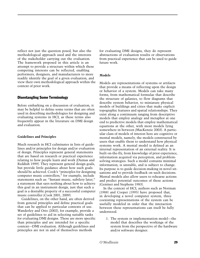reflect not just the question posed, but also the methodological approach used and the interests of the stakeholder carrying out the evaluation. The framework proposed in this article is an attempt to provide a structure within which these competing interests can be reflected, enabling performers, designers, and manufacturers to more readily identify the goal of a given evaluation, and view their own methodological approach within the context of prior work.

## Disentangling Some Terminology

Before embarking on a discussion of evaluation, it may be helpful to define some terms that are often used in describing methodologies for designing and evaluating systems in HCI, as these terms also frequently appear in the literature on DMI design and evaluation.

#### **Guidelines and Principles**

Much research in HCI culminates in lists of guidelines and/or principles for design and/or evaluation of design. Principles represent general statements that are based on research or practical experience relating to how people learn and work (Dumas and Reddish 1999). They represent general design goals, but provide little guidance about how such goals should be achieved. Cook's "principles for designing computer music controllers," for example, include statements such as: "Instant music, subtlety later," a statement that says nothing about how to achieve this goal in an instrument design, just that such a goal is a desirable property of a successful computer music controller (Cook 2001, 2009).

Guidelines, on the other hand, are often derived from general principles and define practical goals that can be applied to particular contexts of use. Wanderley and Orio (2002), for example, provide a set of guidelines to aid in selecting suitable tasks for evaluating DMI designs. These are more specific than principles and are intended for a specific context—DMI evaluation. Although guidelines and principles are not in and of themselves methods

for evaluating DMI designs, they do represent abstractions of evaluation results or observations from practical experience that can be used to guide future work.

#### **Models**

Models are representations of systems or artifacts that provide a means of reflecting upon the design or behavior of a system. Models can take many forms, from mathematical formulae that describe the structure of galaxies, to flow diagrams that describe system behavior, to miniature physical models of buildings and cities that make explicit topographic features and spatial relationships. They exist along a continuum ranging from descriptive models that employ analogy and metaphor at one end to predictive models that employ mathematical equations at the other, with most models lying somewhere in between (MacKenzie 2003). A particular class of models of interest here are cognitive or mental models, namely, the models constructed by users that enable them to understand how physical systems work. A mental model is defined as an internal representation of an external reality. It is built on-the-fly, from knowledge of prior experience, information acquired via perception, and problemsolving strategies. Such a model contains minimal information, is unstable, and is subject to change. Its purpose is to guide decision-making in novel situations and to provide feedback on such decisions. Mental models also allow users to rehearse actions and predict potential outcomes of these actions (Gentner and Stephens 1983).

In the context of HCI, authors such as Norman (1988) and Cooper (1995) have proposed that, in developing a novel computer system, three coexisting representations of the system can be usefully modeled in order that the interaction between these representations can itself be fully understood.

1. The system or implementation model—the model that describes the workings of the system from the perspective of the hardware and/or software designer.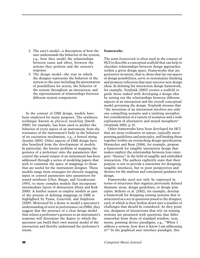- 2. The user's model—a description of how the user understands the behavior of the system, e.g., how they model the relationships between cause and effect, between the actions they perform and the system's response.
- 3. The design model—the way in which the designer represents the behavior of the system to the user including the presentation of possibilities for action, the behavior of the system throughout an interaction, and the representation of relationships between different system components.

In the context of DMI design, models have been employed for many purposes. The synthesis technique known as *physical modeling* (Smith 2008), for example, has been used to predict the behavior of every aspect of an instrument, from the resonance of the instrument's body to the behavior of its excitation mechanism, e.g., a bowed string (Serafin 2004). Other aspects of DMI design have also benefited from the development of models. In particular, the knotty problem of mapping the gestures of a performer onto the parameters that control the sound output of an instrument has been addressed through a series of modeling papers that seek to constrain the space of mappings to those that are useful for the instrument designer. These models range from strategies for directly mapping input or control parameters into parameters for sound synthesis (Choi, Bargar, and Goudeseune 1995), to more complex models that incorporate intermediate layers of abstraction (Hunt and Kirk 2000). A further reason to employ models as part of the process of defining mappings in DMI is highlighted by Fyans, Gurevich, and Stapleton (2009). Motivated by a desire to model a spectator's understanding of error in performance on DMIs, they suggest that the presence of a clear design model that relates a performer's gestures to an instrument's response will determine the degree to which the spectator can build their own mental model of the interaction and thereby understand the performer's intent.

#### **Frameworks**

The term *framework* is often used in the context of HCI to describe a conceptual scaffold that can help to elucidate relationships between design approaches within a given design space. Frameworks that are generative in nature, that is, those that lay out spaces of design possibilities, serve to systematize thinking and promote reflection that may uncover new design ideas. In defining his interaction design framework, for example, Verplank (2003) creates a scaffold to guide those tasked with developing a design idea by setting out the relationships between different aspects of an interaction and the overall conceptual model governing the design. Verplank stresses that "the invention of an interaction involves not only one compelling scenario and a unifying metaphor but consideration of a variety of scenarios and a wide exploration of alternative and mixed metaphors" (Verplank 2003, p. 8).

Other frameworks have been developed for HCI that are more evaluative in nature, typically incorporating guidelines and principles, and binding them together within an overarching design specification. Hornecker and Buur (2006), for example, propose a framework for tangible interaction design that makes explicit the relationship between four emergent "themes" in the field of tangible and embedded interaction. The authors explicitly state that their purpose is not to provide a taxonomy for designing tangible interfaces, but to posit perspectives and themes for the analysis and conceptual guidance for design.

Frameworks need not only be expressed in terms of structures that organize previously defined thematic areas, design guidelines, or design principles. Bellotti et al. (2002), for example, develop a framework for designing sensing systems that is structured as a set of questions posed to the designer, each of which is then broken down into a number of challenges that should be considered. As they point out, designers of interactions that rely on sensing systems are presented with questions that differ somewhat from those of standard window, icon, menu, pointing device paradigms, e.g., "When I address a system, how does it know I am addressing it?" In the graphical user interface paradigm, this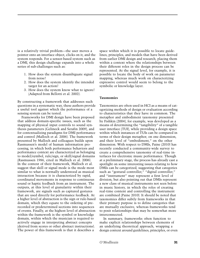is a relatively trivial problem—the user moves a pointer onto an interface object, clicks on it, and the system responds. For a sensor-based system such as a DMI, this design challenge expands into a whole series of sub-challenges such as:

- 1. How does the system disambiguate signal from noise?
- 2. How does the system identify the intended target for an action?
- 3. How does the system know what to ignore? (Adapted from Bellotti et al. 2002).

By constructing a framework that addresses such questions in a systematic way, these authors provide a useful tool against which the performance of a sensing system can be tested.

Frameworks for DMI design have been proposed that address domain-specific issues, such as the mapping of physical input controls to sound synthesis parameters (Gelineck and Serafin 2009), and for contextualizing paradigms for DMI performance and control (Malloch et al. 2006). The framework presented by Malloch and colleagues builds upon Rasmussen's model of human information processing, in which both performance behaviors and performance context are characterized as belonging to model/symbol, rule/sign, or skill/signal domains (Rasmussen 1986, cited in Malloch et al. 2006). In the context of their framework, Malloch et al. suggest that skill or signal mode is the mode most similar to what is normally understood as musical interaction because it is characterized by rapid, coordinated movements in response to continuous sound or haptic feedback from an instrument. The outputs, at this level of granularity within their framework, are signals such as captured gestures that are used directly for performance feedback. At a higher level of abstraction is the sign or rule-based domain, which they equate to the ordering of prerecorded or predetermined sections into sequences of events. Finally, at the highest level of abstraction within the framework is the symbol or knowledge domain, within which the musician is required to actively engage in interpreting abstract concepts (derived from scores or other abstract instructions). The power of this framework is that it describes a

space within which it is possible to locate guidelines, principles, and models that have been derived from earlier DMI design and research, placing them within a context where the relationships between their different roles in the design process can be represented. At the signal level, for example, it is possible to locate the body of work on parameter mapping, whereas much work on characterizing expressive control would seem to belong to the symbolic or knowledge layer.

#### **Taxonomies**

Taxonomies are often used in HCI as a means of categorizing methods of design or evaluation according to characteristics that they have in common. The metaphor and embodiment taxonomy presented by Fishkin (2004), for example, was developed as a means of determining the "tangibility" of a tangible user interface (TUI), while providing a design space within which instances of TUIs can be compared in terms of their design metaphor, on one dimension, and their level of "embodiment," on the other dimension. With respect to DMIs, Paine (2010) has recently conducted a community-wide survey to create a comprehensive taxonomy of real-time interfaces for electronic music performance. Though at a preliminary stage, the process has already cast a spotlight on some interesting issues relating to how DMIs can be categorized, suggesting that categories such as "gestural controller," "digital controller," and "instrument" may represent a first level of division, but also pointing out that DMIs represent a new class of musical instruments not seen before in music history, in which the roles of creating real-time content and controlling the instrument are combined (Paine 2010). It should be noted that taxonomies differ subtly from frameworks in that their primary purpose is to define categories that are mutually exclusive, whereas frameworks tend to posit relationships that may be somewhat more interconnected.

In summary, frameworks often function to make explicit relationships between elements of an underlying theoretical approach, wrapping a design context around guidelines, principles, or even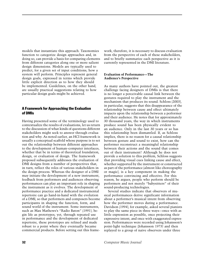models that instantiate this approach. Taxonomies function to categorize design approaches and, in doing so, can provide a basis for comparing elements from different categories along one or more salient design dimensions. Models are typically used to predict, for a given set of input conditions, how a system will perform. Principles represent general design goals, expressed in terms which provide little explicit direction as to how they should be implemented. Guidelines, on the other hand, are usually practical suggestions relating to how particular design goals might be achieved.

## A Framework for Approaching the Evaluation of DMIs

Having presented some of the terminology used to contextualize the results of evaluations, let us return to the discussion of what kinds of questions different stakeholders might seek to answer through evaluation and why. As noted earlier, an HCI framework is usually a conceptual scaffold whose purpose is to set out the relationship between different approaches to the development of human–computer interfaces, whether that be in terms of theoretical foundation, design, or evaluation of design. The framework proposed subsequently addresses the evaluation of DMI designs from a number of perspectives that, in turn, reflect the roles of various stakeholders in the design process. Whereas the designer of a DMI may initiate the development of a new instrument, feedback from performers and audiences observing performances can play an important role in shaping the instrument as it evolves. The development of performance practice and a dedicated instrumental repertoire can go hand-in-hand with the evolution of a DMI, so that performers and composers become participants in shaping the function, form, and sound world of the instrument. Some instruments, such as Max Mathews's "Radio Baton" (1991), begin life as prototypes; yet, through repeated use in performance and the development of dedicated repertoire, these prototypes are refined and made robust to a point where they eventually became commercial products. Before setting out this framework, therefore, it is necessary to discuss evaluation from the perspective of each of these stakeholders, and to briefly summarize each perspective as it is currently represented in the DMI literature.

## **Evaluation of Performance—The Audience's Perspective**

As many authors have pointed out, the greatest challenge facing designers of DMIs is that there is no longer a perceivable causal link between the gestures required to play the instrument and the mechanism that produces its sound. Schloss (2003), in particular, suggests that this disappearance of the relationship between cause and effect ultimately impacts upon the relationship between a performer and their audience. He notes that for approximately 30 thousand years, the way in which instruments produce sound has been physically evident to an audience. Only in the last 30 years or so has this relationship been dismantled. If, as Schloss implies, there is no reason for a causal relationship between gesture and sound to exist, how can the performer reconstruct a meaningful relationship between their actions and the sound that comes out of their instrument? Although he does not provide a solution to this problem, Schloss suggests that providing visual cues linking cause and effect, whether supported by the instrument or constructed as part of the performance (almost like choreography or magic), is a key component in making the performance convincing and effective. For this reason, he argues, people who perform should be performers and not merely "babysitters" of their sound-producing technologies.

Several studies indicate that observers of musical performances derive significant information about a performer's musical intent from observing how the performer moves during a performance. Davidson (1994), for example, asked several pianists to play the same piece in three ways—once with as little expression as possible, once projecting their expressive intent, and once with exaggerated expression. Performances were recorded using Johansson's point-light technique (Johansson 1973) and then replayed to a group of naive observers under three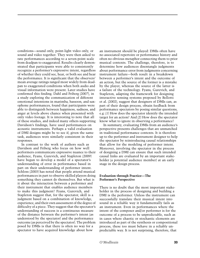conditions—sound only, point-light video only, or sound and video together. They were then asked to rate performances according to a seven-point scale from deadpan to exaggerated. Results clearly demonstrated that participants were able to consistently recognize a performer's expressive intent, regardless of whether they could see, hear, or both see and hear the performance. It is significant that the observers' mean average ratings ranged most widely from deadpan to exaggerated conditions when both audio and visual information were present. Later studies have confirmed this finding. Dahl and Friberg (2007), in a study exploring the communication of different emotional intentions in marimba, bassoon, and saxophone performances, found that participants were able to distinguish between happiness, sadness, and anger at levels above chance when presented with only video footage. It is interesting to note that all of these studies, and indeed many others supporting Davidson's findings, have used performances on acoustic instruments. Perhaps a valid evaluation of DMI designs might be to see if, given the same task, audiences were similarly consistent in their responses.

In contrast to the work of authors such as Davidson and Friberg who focus on how well performers communicate expressive nuance to their audience, Fyans, Gurevich, and Stapleton (2009) have begun to develop a model of a spectator's understanding of error in performance based in part on their understanding of performer intent. Schloss (2003) has noted that people attend musical performances in part to observe skilled players doing something they cannot do themselves. But what is it about the interaction between a performer and their instrument that enables audience members to make this judgment? Fyans, Gurevich, and Stapleton suggest that, for the spectator, skill is a judgment based on a combination of knowledge, experience, and their own assessment of the degree of difficulty of a piece. They suggest that the spectator's understanding of success is a continuous measure of the distance between the performer's intent (as understood by the spectator) and the performance outcome (as perceived by the spectator). The problem posed by DMIs is that there is often no way for a spectator to have acquired knowledge about how

an instrument should be played: DMIs often have no associated repertoire or performance history and often no obvious metaphor connecting them to prior musical contexts. The challenge, therefore, is to determine how audiences disentangle judgments about performance error from judgments concerning instrument failure—both result in a breakdown between a performer's intent and the outcome of an action, but the source of the former is a mistake by the player, whereas the source of the latter is a failure of the technology. Fyans, Gurevich, and Stapleton, adapting the framework for designing interactive sensing systems proposed by Bellotti et al. (2002), suggest that designers of DMIs can, as part of their design process, obtain feedback from performance spectators by posing similar questions, e.g: (1) How does the spectator identify the intended target for an action? And (2) How does the spectator know what to ignore in observing a performance?

In summary, evaluating DMIs from an audience's perspective presents challenges that are unmatched in traditional performance contexts. It is therefore up to the performer and instrument designer to help the spectator by reintroducing causal relationships that allow for the modeling of performer intent. Moreover, involving the spectator in the process of designing a DMI can ensure that such intended causal links are evaluated by an important stakeholder (a potential audience member) at an early stage in the design process.

## **Evaluation through Practice—The Performer's Perspective**

There is no doubt that the most important stakeholder in the process of designing and building a DMI is the performer. Unless the instrument can successfully translate their musical intent into sound in a reliable way it fundamentally fails as an instrument. Even in performances where the intent of the composer and/or performer is for the outcome of a process to be unpredictable, such as in cases where chaotic or stochastic elements are introduced as part of the synthesis or compositional process, these too must behave in a reliably unpredictable way. It is not surprising, therefore, that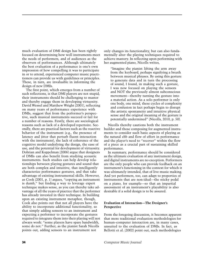much evaluation of DMI design has been rightly focused on determining how well instruments meet the needs of performers, and of audiences as the observers of performances. Although ultimately the best evaluation of a performance is one's own impression of how compelling it was to participate in or to attend, experienced computer music practitioners can provide us with guidelines or principles. These, in turn, are invaluable in informing the design of new DMIs.

The first point, which emerges from a number of such reflections, is that DMI players are not stupid; their instruments should be challenging to master and thereby engage them in developing virtuosity. David Wessel and Matthew Wright (2001), reflecting on many years of performance experience with DMIs, suggest that from the performer's perspective, such musical instruments succeed or fail for a number of reasons. Firstly, there are sociological reasons such as lack of a developed repertoire. Secondly, there are practical factors such as the reactive behavior of the instrument (e.g., the presence of latency and jitter that perturb fluent interaction with the instrument), the lack of coherence of the cognitive model underlying the design, the ease of use, and the potential for development of virtuosity. Dobrian and Koppelman (2006) argue that designers of DMIs can also benefit from studying acoustic instruments. Such studies can help develop relationships between playing gestures and sound that are both complex and intuitive, that intelligently characterize performance gestures, and that take advantage of existing instrumental skills. However, as Cook (2001, p. 1) argues, "copying an instrument is dumb," but finding a way to leverage expert technique makes sense, as you can thereby take advantage of all the years of practice that the performer has already invested in their technique. In building upon an existing instrument metaphor, though, Cook also points out that not all players have the ability to incorporate additional functionality, so that simply adding sensors to an instrument and expecting a performer to incorporate the gestures required to integrate them into their playing will not always work: "some players have spare bandwidth, some do not." Further, as the pianist Sarah Nicolls points out, adding sensors to an instrument not

only changes its functionality, but can also fundamentally alter the playing techniques required to achieve mastery. In reflecting upon performing with her augmented piano, Nicolls writes,

"Imagine the pianist lifting the arm away from the keyboard, perhaps signifying a breath between musical phrases. By using this gesture to generate data and in turn the processing of sound, I found, in making such a gesture, I was now focused on playing the sensors and NOT the previously almost subconscious movement—thereby turning the gesture into a material action. As a solo performer is only one body, one mind, these cycles of complexity and confusion in fact perhaps begin to disrupt the artistic spontaneity and intuitive physical sense and the original meaning of the gesture is potentially undermined" (Nicolls, 2010, p. 50).

Nicolls thereby cautions both the instrument builder and those composing for augmented instruments to consider such basic aspects of playing as the natural ebb and flow of effort in performance and the player's need to "recover" within the flow of a piece as a crucial part of sustaining skilled performance.

In summary, performance should be considered as the ultimate evaluation of any instrument design, and digital instruments are no exception. Performers are the only people who can provide feedback on an instrument's functioning in the context for which it was ultimately intended, that of live music making. And yet performers, too, can adapt to properties of instruments that are non-ideal—the sticky pedal on a piano, for example—so that an impartial assessment of an instrument's playability is also desirable if a solid design is to be assured.

## **Evaluation of Interaction—The Designer's Perspective**

From the foregoing discussion, it becomes apparent that more traditional evaluation methodologies for human–computer interaction are, in many cases, unsuited to the evaluation of DMIs. In fact, as Bellotti et al. (2002) point out, such methodologies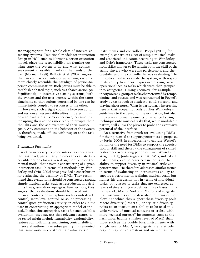are inappropriate for a whole class of interactive sensing systems. Traditional models for interaction design in HCI, such as Norman's action-execution model, place the responsibility for figuring out what state the system is in, and what actions are currently possible, firmly in the hands of the user (Norman 1988). Bellotti et al. (2002) suggest that, in comparison, interactive sensing systems more closely resemble the paradigm of person-toperson communication: Both parties must be able to establish a shared topic, such as a shared action goal. Significantly, in interactive sensing systems, both the system and the user operate within the same timeframe so that actions performed by one can be immediately coupled to responses of the other.

However, such a tight coupling between action and response presents difficulties in determining how to evaluate a user's experience, because interrupting their actions inevitably interrupts their thoughts and the achievement of their musical goals. Any comment on the behavior of the system is, therefore, made off-line with respect to the task being evaluated.

## *Evaluating Playability*

It is often necessary to probe interaction designs at the task level, particularly in order to evaluate two possible options for a given design, or to probe the mental model that a user is constructing of a given interaction task. In terms of a methodology, Wanderley and Orio (2002) have provided a contribution for evaluating the usability of DMIs. They recommend that evaluations should be constructed around simple musical tasks, such as reproducing musical units like glissandi or arpeggios. Furthermore, they suggest that evaluations should be placed within musical contexts or metaphors such as note-level control, score-level control, or sound-processing control (post-production activity) in order to aid the user in constructing an appropriate model of the task. In choosing appropriate tasks for such usability evaluation, they suggest that relevant features to be tested might include learnability, explorability, feature controllability, and timing controllability.

Several authors have subsequently implemented this framework in constructing evaluations of

instruments and controllers. Poepel (2005), for example, constructs a set of simple musical tasks and associated indicators according to Wanderley and Orio's framework. These tasks are constructed from skills known to lie within both the skill of the string players who were his participants, and the capabilities of the controller he was evaluating. The indicators used to evaluate the system, with respect to its ability to support expressive playing, were operationalized as tasks which were then grouped into categories. Timing accuracy, for example, incorporated a group of tasks characterized by tempo, timing, and pauses, and was represented in Poepel's study by tasks such as pizzicato, collé, spiccato, and playing short notes. What is particularly interesting here is that Poepel not only applies Wanderley's guidelines to the design of the evaluation, but also finds a way to map elements of advanced string technique onto musical tasks that, while modular in nature, still allow the player to probe the expressive potential of the interface.

An alternative framework for evaluating DMIs for their potential to support performers is proposed by Jorda (2004). In endeavoring to capture Wessel's notion of the need for DMIs to support the acquisition of skill and thereby the engagement of skilled performers over a long period of time (Wessel and Wright 2001), Jorda suggests that DMIs, indeed all instruments, can be described in terms of their ability to support diversity in musical style and performance. He therefore addresses similar issues in terms of evaluating an instrument's ability to support a performer in realizing musical goals, but frames his discussion not in terms of individual tasks, but classes of tasks that are expressed as levels of *diversity*. Jorda defines three classes in his framework, Macro, Mid, and Micro, and suggests that instruments can be described in terms of the "level" to which they support these diversity goals. Macro diversity ("MacD"), or stylistic diversity, refers to an instrument's ability to be used in a wide variety of musical contexts or styles, with more "general-purpose" instruments such as the harmonica having a higher level of MacD than those such as the double bass. Instruments with a high level of MacD, he suggests, are relatively easy to play for an amateur and are well suited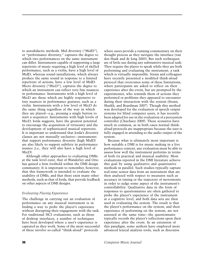to autodidactic methods. Mid diversity ("MidD"), or "performance diversity," captures the degree to which two performances on the same instrument can differ. Instruments capable of supporting a large repertoire of music requiring a high level of skilled performance, such as a violin, have a high level of MidD, whereas sound installations, which always produce the same sound in response to a limited repertoire of actions, have a low level of MidD. Micro diversity ("MicD"), captures the degree to which an instrument can reflect very fine nuances in performance. Instruments with a high level of MicD are those which are highly responsive to tiny nuances in performance gestures, such as a violin. Instruments with a low level of MicD do the same thing regardless of the way in which they are played—e.g., pressing a single button to start a sequencer. Instruments with high levels of MicD, Jorda suggests, have the greatest potential to encourage the acquisition of virtuosity and the development of sophisticated musical repertoire. It is important to understand that Jorda's diversity classes are not mutually exclusive—instruments that support performance diversity (high MidD) are also likely to support subtlety in performance nuance (i.e., they will also have a high level of MicD).

Although other approaches to evaluating DMIs at the task level exist, that of Wanderley and Orio has gained a firm foothold within the DMI design community. It is important to remember, however, that this framework is intended to evaluate the usability of DMIs, and that there exist many other methods, such as that of Jorda, that provide feedback on other aspects of DMI designs.

## *Evaluating Playing Experience*

The challenge in carrying out an evaluation of performance on any musical instrument is in finding a way to probe the player's experience without disrupting their engagement with the task. For traditional HCI evaluations, such as those of desktop interfaces, a number of techniques have been developed where a user's experience is captured as they work. Some of the most successful of these involve so-called "think-aloud" protocols

where users provide a running commentary on their thought process as they navigate the interface (van den Haak and de Jong 2003). But such techniques are of little use during any substantive musical task: They require the player to speak while they are both performing and evaluating the instrument, a task which is virtually impossible. Strain and colleagues have recently presented a modified think-aloud protocol that overcomes some of these limitations, where participants are asked to reflect on their experience after the event, but are prompted by the experimenter, who reminds them of actions they performed or problems they appeared to encounter during their interaction with the system (Strain, Shaikh, and Boardman 2007). Though this method was developed for the evaluation of speech output systems for blind computer users, it has recently been adapted for use in the evaluation of a percussion controller (Chuchacz 2009). These scenarios have much in common, as in both cases normal thinkaloud protocols are inappropriate because the user is fully engaged in attending to the audio output of the system.

Because what is ultimately most important is how suitable a DMI is for music making in a live performance context, any evaluation must be able to assess how well the instrument performs in terms of both its practical and musical usability. Most evaluations reported in the DMI literature achieve this goal by using qualitative and quantitative methods in parallel. Such studies typically capture real-time sensor data from an instrument that are then analyzed with respect to measures such as accuracy in timing or the trajectory of movements in order to judge some aspect of the instrument's controllability. Qualitative data in the form of responses to questionnaires are often gathered to probe the player's experience of the instrument at a cognitive level, and both data sets are then used in evaluating the system. The result is that the player's performance on the system, and their experience of performing on the system, are not assessed at the same time—the questionnaire typically records the player's reflections upon their experience after the event. In an extension of this paradigm, some authors have employed more advanced lexical analysis tools, such as discourse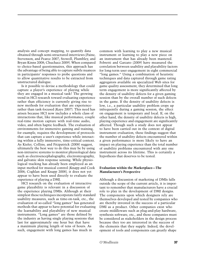analysis and concept mapping, to quantify data obtained through semi-structured interviews (Paine, Stevenson, and Pearce 2007; Stowell, Plumbley, and Bryan-Kinns 2008; Chuchacz 2009). When compared to choice-based questionnaires, this approach has the advantage of being able to capture subtle nuances in participants' responses to probe questions and to allow quantitative results to be extracted from unstructured dialogue.

Is it possible to devise a methodology that could capture a player's experience of playing while they are engaged in a musical task? The growing trend in HCI research toward evaluating experience rather than efficiency is currently giving rise to new methods for evaluation that are experiencerather than task-focused (Kaye 2007). This need has arisen because HCI now includes a whole class of interactions that, like musical performance, couple real-time motion capture with real-time audio, video, and often haptic feedback. The evaluation of environments for immersive gaming and training, for example, requires the development of protocols that can capture a user's experience while interacting within a fully immersive, time-critical context. As Kiefer, Collins, and Fitzpatrick (2008) suggest, ultimately the best way to do this may be by using non-intrusive systems to monitor physiological data such as electroencephalography, electromyography, and galvanic skin response sensing. While physiological tracking has already been employed as an input method for musical control (Knapp and Cook 2006; Coghlan and Knapp 2008), it does not yet appear to have been used directly to evaluate the experience of playing a DMI.

HCI research on the evaluation of interactive game playability is relevant in a discussion of the experience playing DMIs. Although at their simplest these techniques incorporate fairly standard usability measures, such as time-on-task, etc., the evaluation of so-called "long games" has generated methods that appear to have potential for evaluating the learnability and playability of new musical instruments. "Long games" are those defined by the industry as having single playing sessions that last for approximately one hour but that have a maximum playing length of tens of hours. As such, engagement with long games has much in

common with learning to play a new musical instrument or learning to play a new piece on an instrument that has already been mastered. Febretti and Garzato (2009) have measured the correlation between usability and playability factors for long-term user engagement in eight commercial "long games." Using a combination of heuristic techniques and data captured through game rating aggregators available on specialized Web sites for game quality assessment, they determined that long term engagement is more significantly affected by the density of usability defects for a given gaming session than by the overall number of such defects in the game. If the density of usability defects is low, i.e., a particular usability problem crops up infrequently during a gaming session, the effect on engagement is temporary and local. If, on the other hand, the density of usability defects is high, playing experience and engagement are significantly affected. Though such a study does not appear to have been carried out in the context of digital instrument evaluation, these findings suggest that the number of usability defects encountered within a given performance is more likely to have an impact on playing experience than the total number of usability problems encountered with any one instrument across its lifetime. This is certainly a hypothesis that deserves to be tested.

#### **Evaluation within the Marketplace—The Manufacturer's Perspective**

Although a discussion of marketing of DMIs falls outside the scope of the current article, it is important to remember that manufacturers have a crucial role to play in the development of DMI designs. The components upon which designers rely are themselves developed and tested by companies who are thereby invested in the success of a particular DMI as a product. Other companies exist who create middleware such as plug-and-play hardware, synthesis software, etc., and these companies must be considered as stakeholders in the design process because they too are interested in the success of the elements that they supply. Indeed, the development of tools and components can greatly shape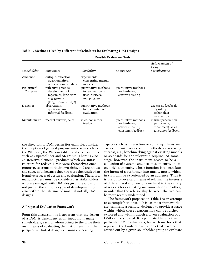| <i>Stakeholder</i>     | <b>Possible Evaluation Goals</b>                                                                       |                                                                               |                                                                                 |                                                                               |
|------------------------|--------------------------------------------------------------------------------------------------------|-------------------------------------------------------------------------------|---------------------------------------------------------------------------------|-------------------------------------------------------------------------------|
|                        | Enjoyment                                                                                              | Playability                                                                   | Robustness                                                                      | Achievement of<br>Design<br>Specifications                                    |
| Audience               | critique, reflection,<br>questionnaires,<br>observational studies                                      | experiments<br>concerning mental<br>models                                    |                                                                                 |                                                                               |
| Performer/<br>Composer | reflective practice,<br>development of<br>repertoire, long-term<br>engagement<br>(longitudinal study?) | quantitative methods<br>for evaluation of<br>user interface,<br>mapping, etc. | quantitative methods<br>for hardware/<br>software testing                       |                                                                               |
| Designer               | observation,<br>questionnaire,<br>Informal feedback                                                    | quantitative methods<br>for user interface<br>evaluation                      |                                                                                 | use cases, feedback<br>regarding<br>stakeholder<br>satisfaction               |
| Manufacturer           | market surveys, sales                                                                                  | sales, consumer<br>feedback                                                   | quantitative methods<br>for hardware/<br>software testing,<br>consumer feedback | market penetration<br>(performers,<br>consumers), sales,<br>consumer feedback |

## **Table 1. Methods Used by Different Stakeholders for Evaluating DMI Designs**

the direction of DMI design (for example, consider the adoption of general purpose interfaces such as the WIImote, the Wacom tablet, and environments such as Supercollider and MaxMSP). There is also an iterative element—products which are infrastructure for today's DMIs were themselves once prototype systems in their own right, and are robust and successful because they too were the result of an iterative process of design and evaluation. Therefore, manufacturers must be considered as stakeholders who are engaged with DMI design and evaluation, not just at the end of a cycle of development, but also within the lifetime of most, if not all, DMI designs.

## **A Proposed Evaluation Framework**

From this discussion, it is apparent that the design of a DMI is dependent upon input from many stakeholders, each of whom brings to the table their own means of evaluating the instrument from their perspective. Initial design decisions concerning

aspects such as interaction or sound synthesis are associated with very specific methods for assessing success, e.g., benchmarking against existing models or standards for the relevant discipline. At some stage, however, the instrument ceases to be a collection of systems and becomes an entity in its own right, an entity whose function is to translate the intent of a performer into music, music which in turn will be experienced by an audience. Thus it is useful to develop a means of relating the interests of different stakeholders on one hand to the variety of reasons for evaluating instruments on the other, in order that the relationship between the two can be more readily understood.

The framework proposed in Table 1 is an attempt to accomplish this task. It is, as most frameworks are, primarily a scaffold, designed to provide a space within which these relationships can be further explored and within which a given evaluation of a DMI can be situated. It is populated here not with particular DMI evaluations, but with methods that represent the kinds of evaluations that have been carried out by a given stakeholder group to evaluate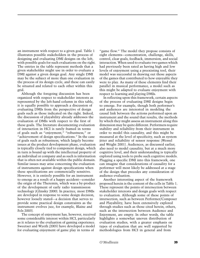an instrument with respect to a given goal. Table 1 illustrates possible stakeholders in the process of designing and evaluating DMI designs on the left, with possible goals for such evaluations on the right. The entries in the table represent methods that a given stakeholder might use in order to evaluate a DMI against a given design goal. Any single DMI may be the subject of more than one evaluation in the process of its design cycle, and these can easily be situated and related to each other within this grid.

Although the foregoing discussion has been organized with respect to stakeholder interests as represented by the left-hand column in this table, it is equally possible to approach a discussion of evaluating DMIs from the perspective of design goals such as those indicated on the right. Indeed, the discussion of playability already addresses the evaluation of DMIs with respect to the first of these goals. The literature documenting evaluation of interaction in HCI is rarely framed in terms of goals such as "enjoyment," "robustness," or "achievement of design specifications." In the case of goals such as robustness, which largely become issues at the product development phase, evaluation is typically closely tied to component design, which in turn is bound up with the intellectual property of an individual or company and as such is information that is often not available within the public domain. Similar issues may arise concerning the evaluation of instruments against design specifications when these specifications are commercially sensitive. However, it is entirely possible for an instrument to emerge as a result of a happy accident—consider the origin of the Theremin, which was a by-product of the development of early radio transmission technology (Glinsky 2000). In practice, most DMIs are developed in response to some design decision, however loosely stated—a decision that serves to provide some practical design constraints as the instrument evolves (see, for example, Blaine and Fels 2003).

The concept of enjoyment has, however, received some considerable interest within HCI, particularly as it relates to the evaluation of gaming experience. Sweetser and Wyeth (2005) have developed a model for evaluating enjoyment of game play in terms of

"game flow." The model they propose consists of eight elements—concentration, challenge, skills, control, clear goals, feedback, immersion, and social interaction. When used to evaluate two games which had previously been rated as having high and low levels of enjoyment using a preexisting tool, their model was successful in drawing out those aspects of the games that contributed to how enjoyable they were to play. As many of these elements find their parallel in musical performance, a model such as this might be adapted to evaluate enjoyment with respect to learning and playing DMIs.

In reflecting upon this framework, certain aspects of the process of evaluating DMI designs begin to emerge. For example, though both performer's and audiences are interested in modeling the causal link between the actions performed upon an instrument and the sound that results, the methods by which they might assess an instrument along this dimension may be quite different. Performers require stability and reliability from their instrument in order to model this causality, and this might be measured at the level of specificity, such as system jitter and reliability of sensor response (Wessel and Wright 2001). Audiences, as discussed earlier, also need to model causality, but at a much more cognitive level, and their understanding is typically explored using tools to probe such cognitive models. Plugging a specific DMI into this framework, one can imagine that considerations of causality for a performer will most likely be addressed at a stage of the design that precedes any consideration of audience evaluation.

Another interesting aspect of the framework proposed herein is the content of the cells in Table 1. These represent the points of intersection between stakeholder interests and design goals with respect to evaluation. Although some of these points of intersection, such as between Performer/Composer and Playability, have been extensively explored through studies such as those cited herein, others, such as the intersection between Audience and Enjoyment, are empty. In other words, the table highlights a somewhat uneven distribution of evaluation studies, with a greater emphasis on types of evaluation that are well supported by methodologies from HCI in general and from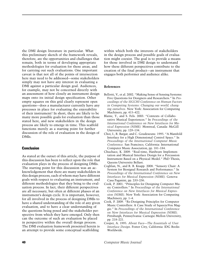the DMI design literature in particular. What this preliminary sketch of the framework reveals, therefore, are the opportunities and challenges that remain, both in terms of developing appropriate methodologies for evaluation for these areas, and for carrying out such evaluations. One important caveat is that not all of the points of intersection here may need to be addressed—some stakeholders simply may not have any interest in evaluating a DMI against a particular design goal. Audiences, for example, may not be concerned directly with an assessment of how closely an instrument design maps onto its initial design specification. Other empty squares on this grid clearly represent open questions—does a manufacturer currently have any processes in place for evaluating the enjoyability of their instrument? In short, there are likely to be many more possible goals for evaluation than those stated here, and new stakeholders in the design process are likely to emerge in time. This scaffold functions merely as a starting point for further discussion of the role of evaluation in the design of DMIs.

## Conclusion

As stated at the outset of this article, the purpose of this discussion has been to reflect upon the role that evaluation plays in the process of designing DMIs. The starting point for this discussion was an acknowledgement that there are many stakeholders in this design process, each of whom may have different goals with respect to evaluating an instrument, and different methodologies that they bring to the evaluation process. In fact, their different perspectives are all necessary, but often at different phases of an instrument's design cycle. It is important, however, for all involved in the process of designing DMIs to have a shared understanding of the role of any given evaluation, and to have a clear understanding of the questions being posed and the stakeholder perspective from which they have emerged. Only then can the outcome of such an evaluation be placed in perspective within the overall design process. The DMI evaluation framework presented herein is an attempt to provide some conceptual scaffolding

within which both the interests of stakeholders in the design process and possible goals of evaluation might coexist. The goal is to provide a means for those involved in DMI design to understand how these different perspectives contribute to the creation of the final product—an instrument that engages both performer and audience alike.

#### **References**

- Bellotti, V., et al. 2002. "Making Sense of Sensing Systems: Five Questions for Designers and Researchers." In *Proceedings of the SIGCHI Conference on Human Factors in Computing Systems: Changing our world, changing ourselves.* New York: Association for Computing Machinery, pp. 415–422.
- Blaine, T., and S. Fels. 2003. "Contexts of Collaborative Musical Experiences." In *Proceedings of the International Conference on New Interfaces for Musical Expression (NIME).* Montreal, Canada: McGill University, pp. 129–134.
- Choi, I., R. Bargar, and C. Goudeseune. 1995. "A Manifold Interface for a High Dimensional Control Space." In *Proceedings of the International Computer Music Conference.* San Francisco, California: International Computer Music Association, pp. 181–184.
- Chuchacz, K. 2009. "Real-time, Hardware Implementation and Musical Interface Design for a Percussion Instrument Based on a Physical Model." PhD Thesis, Queens University Belfast.
- Coghlan, N., and R. B. Knapp. 2008. "Sensory Chair: A System for Biosignal Research and Performance." In *Proceedings of the International Conference on New Interfaces for Musical Expression (NIME).* Genova: Casa Paganini, pp. 233–236.
- Cook, P. 2001. "Principles for Designing Computer Music Controllers." In *Proceedings of the International Conference on New Interfaces for Musical Expression (NIME)*. New York: Association for Computing Machinery, pp. 1–4.
- Cook, P. 2009. "Re-Designing Principles for Computer Music Controllers: A Case Study of SqueezeVox Maggie." In *Proceedings of the International Conference on New Interfaces for Musical Expression (NIME)*. Pittsburgh, Pennsylvania: Carnegie Mellon University, pp. 218–221.
- Cooper, A. 1995. *About Face—The Essentials of User Interface Design*. Foster City, California: IDG Books Worldwide.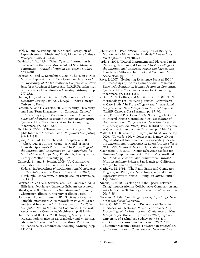- Dahl, S., and A. Friberg. 2007. "Visual Perception of Expressiveness in Musicians' Body Movements." *Music Perception* 24(5):433–454.
- Davidson, J. W. 1994. "What Type of Information is Conveyed in the Body Movements of Solo Musician Performers?" *Journal of Human Movement Studies* 6:279–301.
- Dobrian, C., and D. Koppelman. 2006. "The 'E' in NIME: Musical Expression with New Computer Interfaces." In *Proceedings of the International Conference on New Interfaces for Musical Expression (NIME)*. Paris: Institut de Recherche et Coordination Acoustique/Musique, pp. 277–282.
- Dumas, J. S., and J. C. Reddish. 1999. *Practical Guide to Usability Testing, 2nd ed*. Chicago, Illinois: Chicago University Press.
- Febretti, A., and F. Garzotto. 2009. "Usability, Playability, and Long-Term Engagement in Computer Games." In *Proceedings of the 27th International Conference Extended Abstracts on Human Factors in Computing Systems*. New York: Association for Computing Machinery, pp. 4063–4068.

Fishkin, K. 2004. "A Taxonomy for and Analysis of Tangible Interfaces." *Personal and Ubiquitous Computing* 8(5):347–358.

- Fyans, A. C., M. Gurevich, and P. Stapleton. 2009. "Where Did It All Go Wrong? A Model of Error From the Spectator's Perspective." In *Proceedings of the International Conference on New Interfaces for Musical Expression (NIME)*. Pittsburgh, Pennsylvania: Carnegie Mellon University, pp. 172–175.
- Gelineck, S., and S. Serafin. 2009. "A Quantitative Evaluation of the Differences between Knobs and Sliders." In *Proceedings of the International Conference on New Interfaces for Musical Expression (NIME)*. Pittsburgh, Pennsylvania: Carnegie Mellon University, pp. 13–18.
- Gentner, D., and A. L. Stevens, eds. 1983. *Mental Models*. Hillsdale, New Jersey: Lawrence Erlbaum Associates.
- Glinsky, A. 2000. *Theremin: Ether Music and Espionage*. Champaign, Illinois: University of Illinois Press.
- Hornecker, E., and J. Buur. 2006. "Getting a Grip on Tangible Interaction: A Framework on Physical Space and Social Interaction." In *Proceedings of the 2006 Computer-Human Interaction Conference*. New York: Association for Computing Machinery, pp. 437–446.
- Hunt, A., and R. Kirk. 2000. Mapping Strategies for Musical Performance. In M. Wanderley and M. Battier, eds. *Trends in Gestural Control of Music*. Paris: Institut de Recherche et Coordination Acoustique/Musique, pp. 231–258.

Johansson, G. 1973. "Visual Perception of Biological Motion and a Model for its Analysis." *Perception and Psychophysics* 14(2):201–211.

Jorda, S. 2004. "Digital Instruments and Players: Part II: Diversity, Freedom and Control." In *Proceedings of the International Computer Music Conference.* San Francisco, California: International Computer Music Association, pp. 706–710.

Kaye, J. 2007. "Evaluating Experience-Focused HCI." In *Proceedings of the 25th International Conference Extended Abstracts on Human Factors in Computing Systems*. New York: Association for Computing Machinery, pp. 1661–1664.

Kiefer, C., N. Collins, and G. Fitzpatrick. 2008. "HCI Methodology For Evaluating Musical Controllers: A Case Study." In *Proceedings of the International Conference on New Interfaces for Musical Expression (NIME).* Genova: Casa Paganini, pp. 87–90.

- Knapp, R. B. and P. R. Cook. 2006. "Creating a Network of Integral Music Controllers." In *Proceedings of the International Conference on New Interfaces for Musical Expression (NIME)*. Paris: Institut de Recherche et Coordination Acoustique/Musique, pp. 124–128.
- Malloch, J., D. Birnbaum., E. Sinyor., and M. M. Wanderley. 2006. "Towards a New Conceptual Framework for Digital Musical Instruments." In *Proceedings of the 9th International Conference on Digital Audio Effects (DAFx-06).* Montreal: McGill University, pp. 49–52.
- MacKenzie, I. S. 2003. "Motor Behaviour Models for Human–Computer Interaction." In J. M. Carroll, ed. *HCI Models, Theories, and Frameworks: Toward a Multidisciplinary Science*. San Francisco, California: Morgan Kaufmann, pp. 27–54.
- Mathews, M. 1991. "The Radio Baton and Conductor Program, or: Pitch, the Most Important and Least Expressive Part of Music." *Computer Music Journal* 15(4):37–46.
- Nicolls, S. 2010. "Seeking Out the Spaces Between: Using Improvisation in Collaborative Composition and with Interactive Technology." *Leonardo Music Journal* 20:47–55.
- Norman, D. 1988. *The Design of Everyday Things*. New York: Doubleday/Currency.
- Paine, G. 2010. "Towards a Taxonomy of Realtime Interfaces for Electronic Music Performance." In *Proceedings of the International Conference on New Interfaces for Musical Expression (NIME)*. Sydney: University of Technology Sydney, pp. 436–439.
- Paine, G., I. Stevenson, and A. Pearce. 2007. "The Thummer Mapping Project (ThuMP)." In *Proceedings of the International Conference on New Interfaces*